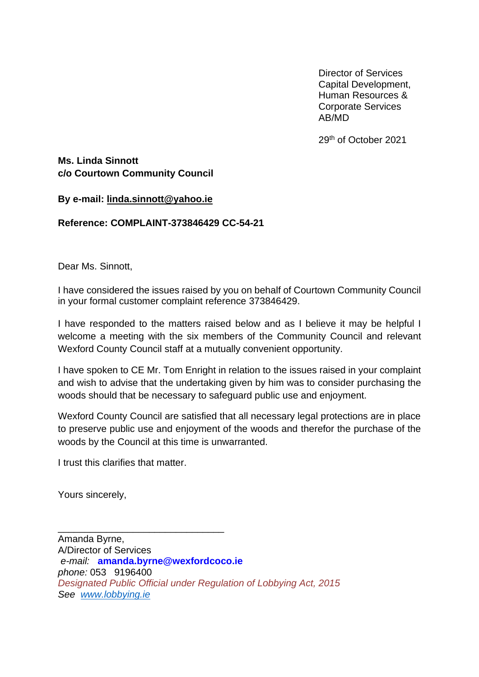Director of Services Capital Development, Human Resources & Corporate Services AB/MD

29th of October 2021

**Ms. Linda Sinnott c/o Courtown Community Council**

## **By e-mail: [linda.sinnott@yahoo.ie](mailto:linda.sinnott@yahoo.ie)**

## **Reference: COMPLAINT-373846429 CC-54-21**

Dear Ms. Sinnott,

I have considered the issues raised by you on behalf of Courtown Community Council in your formal customer complaint reference 373846429.

I have responded to the matters raised below and as I believe it may be helpful I welcome a meeting with the six members of the Community Council and relevant Wexford County Council staff at a mutually convenient opportunity.

I have spoken to CE Mr. Tom Enright in relation to the issues raised in your complaint and wish to advise that the undertaking given by him was to consider purchasing the woods should that be necessary to safeguard public use and enjoyment.

Wexford County Council are satisfied that all necessary legal protections are in place to preserve public use and enjoyment of the woods and therefor the purchase of the woods by the Council at this time is unwarranted.

I trust this clarifies that matter.

\_\_\_\_\_\_\_\_\_\_\_\_\_\_\_\_\_\_\_\_\_\_\_\_\_\_\_\_\_\_\_

Yours sincerely,

Amanda Byrne, A/Director of Services *e-mail:* **amanda.byrne@wexfordcoco.ie** *phone:* 053 9196400 *Designated Public Official under Regulation of Lobbying Act, 2015 See [www.lobbying.ie](http://www.lobbying.ie/)*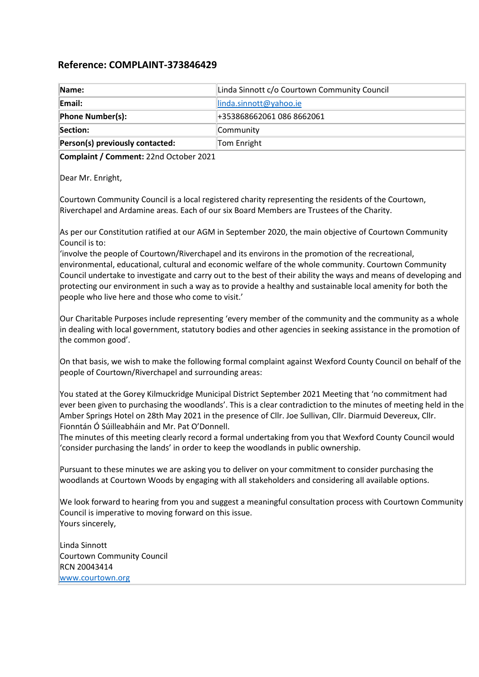## **Reference: COMPLAINT-373846429**

| Name:                           | Linda Sinnott c/o Courtown Community Council |
|---------------------------------|----------------------------------------------|
| Email:                          | linda.sinnott@yahoo.ie                       |
| <b>Phone Number(s):</b>         | +353868662061 086 8662061                    |
| Section:                        | Community                                    |
| Person(s) previously contacted: | Tom Enright                                  |

**Complaint / Comment:** 22nd October 2021

Dear Mr. Enright,

Courtown Community Council is a local registered charity representing the residents of the Courtown, Riverchapel and Ardamine areas. Each of our six Board Members are Trustees of the Charity.

As per our Constitution ratified at our AGM in September 2020, the main objective of Courtown Community Council is to:

'involve the people of Courtown/Riverchapel and its environs in the promotion of the recreational, environmental, educational, cultural and economic welfare of the whole community. Courtown Community Council undertake to investigate and carry out to the best of their ability the ways and means of developing and protecting our environment in such a way as to provide a healthy and sustainable local amenity for both the people who live here and those who come to visit.'

Our Charitable Purposes include representing 'every member of the community and the community as a whole in dealing with local government, statutory bodies and other agencies in seeking assistance in the promotion of the common good'.

On that basis, we wish to make the following formal complaint against Wexford County Council on behalf of the people of Courtown/Riverchapel and surrounding areas:

You stated at the Gorey Kilmuckridge Municipal District September 2021 Meeting that 'no commitment had ever been given to purchasing the woodlands'. This is a clear contradiction to the minutes of meeting held in the Amber Springs Hotel on 28th May 2021 in the presence of Cllr. Joe Sullivan, Cllr. Diarmuid Devereux, Cllr. Fionntán Ó Súilleabháin and Mr. Pat O'Donnell.

The minutes of this meeting clearly record a formal undertaking from you that Wexford County Council would 'consider purchasing the lands' in order to keep the woodlands in public ownership.

Pursuant to these minutes we are asking you to deliver on your commitment to consider purchasing the woodlands at Courtown Woods by engaging with all stakeholders and considering all available options.

We look forward to hearing from you and suggest a meaningful consultation process with Courtown Community Council is imperative to moving forward on this issue. Yours sincerely,

Linda Sinnott Courtown Community Council RCN 20043414 [www.courtown.org](http://www.courtown.org/)